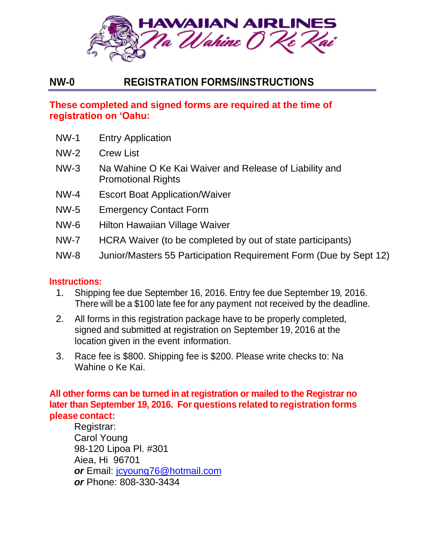

# **NW-0 REGISTRATION FORMS/INSTRUCTIONS**

## **These completed and signed forms are required at the time of registration on 'Oahu:**

- NW-1 Entry Application
- NW-2 Crew List
- NW-3 Na Wahine O Ke Kai Waiver and Release of Liability and Promotional Rights
- NW-4 Escort Boat Application/Waiver
- NW-5 Emergency Contact Form
- NW-6 Hilton Hawaiian Village Waiver
- NW-7 HCRA Waiver (to be completed by out of state participants)
- NW-8 Junior/Masters 55 Participation Requirement Form (Due by Sept 12)

## **Instructions:**

- 1. Shipping fee due September 16, 2016. Entry fee due September 19, 2016. There will be a \$100 late fee for any payment not received by the deadline.
- 2. All forms in this registration package have to be properly completed, signed and submitted at registration on September 19, 2016 at the location given in the event information.
- 3. Race fee is \$800. Shipping fee is \$200. Please write checks to: Na Wahine o Ke Kai.

**All other forms can be turned in at registration or mailed to the Registrar no later than September 19, 2016. For questions related to registration forms please contact:**

 Registrar: Carol Young 98-120 Lipoa Pl. #301 Aiea, Hi 96701 *or* Email: [jcyoung76@hotmail.com](mailto:jcyoung76@hotmail.com) *or* Phone: 808-330-3434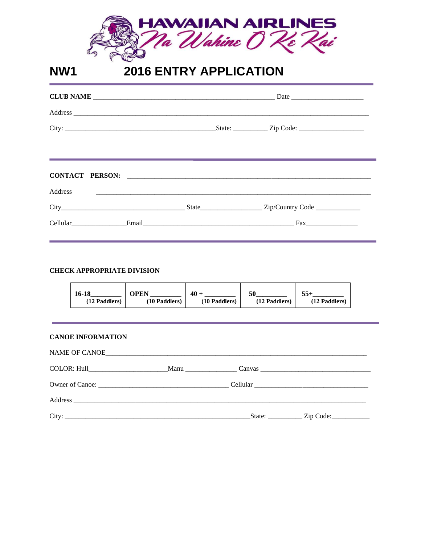

### **2016 ENTRY APPLICATION NW1**

| <b>Address</b><br><u> 1989 - Johann Harry Harry Harry Harry Harry Harry Harry Harry Harry Harry Harry Harry Harry Harry Harry Harry H</u> |  |
|-------------------------------------------------------------------------------------------------------------------------------------------|--|
|                                                                                                                                           |  |
|                                                                                                                                           |  |

#### **CHECK APPROPRIATE DIVISION**

| 16-18         | )PEN          | 40            | 50            | $55+$         |
|---------------|---------------|---------------|---------------|---------------|
| (12 Paddlers) | (10 Paddlers) | (10 Paddlers) | (12 Paddlers) | (12 Paddlers) |
|               |               |               |               |               |

| <b>CANOE INFORMATION</b> |  |                                                   |
|--------------------------|--|---------------------------------------------------|
|                          |  |                                                   |
|                          |  |                                                   |
|                          |  |                                                   |
|                          |  |                                                   |
|                          |  | State: ________________ Zip Code: _______________ |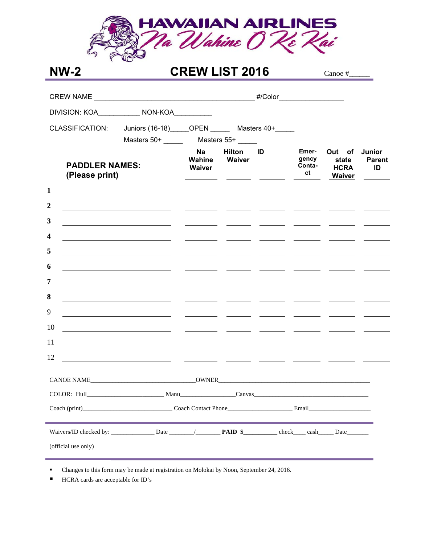

# **NW-2 CREW LIST 2016** Canoe #

| <b>CLASSIFICATION:</b>                  | Juniors (16-18) OPEN Masters 40+                                                                                      |                                                                          |                         |                                        |                                                                                                                                                                                                                                      |                                          |                                      |
|-----------------------------------------|-----------------------------------------------------------------------------------------------------------------------|--------------------------------------------------------------------------|-------------------------|----------------------------------------|--------------------------------------------------------------------------------------------------------------------------------------------------------------------------------------------------------------------------------------|------------------------------------------|--------------------------------------|
|                                         | Masters 50+ ________ Masters 55+                                                                                      |                                                                          |                         |                                        |                                                                                                                                                                                                                                      |                                          |                                      |
| <b>PADDLER NAMES:</b><br>(Please print) |                                                                                                                       | <b>Na</b><br><b>Wahine</b><br>Waiver<br><u> 1989 - Johann Barnett, f</u> | Hilton<br><b>Waiver</b> | ID<br><u> The Common School (1999)</u> | Emer-<br>gency<br>Conta-<br>ct                                                                                                                                                                                                       | Out of<br>state<br><b>HCRA</b><br>Waiver | <b>Junior</b><br><b>Parent</b><br>ID |
| $\mathbf{1}$                            |                                                                                                                       | $\overline{\phantom{a}}$                                                 |                         |                                        |                                                                                                                                                                                                                                      |                                          |                                      |
| $\boldsymbol{2}$                        |                                                                                                                       | <u> The Communication of the Communication</u>                           |                         |                                        |                                                                                                                                                                                                                                      |                                          |                                      |
| 3                                       | <u> 1989 - Johann Barbara, martin amerikan basar dan basa dan basa dan basa dalam basa dalam basa dalam basa dala</u> | $\overline{\phantom{a}}$ . The contract of $\overline{\phantom{a}}$      |                         |                                        |                                                                                                                                                                                                                                      |                                          |                                      |
| $\overline{\mathbf{4}}$                 | <u> 1989 - Johann Stein, mars an deus an deus Amerikaanse komme en de Fryske komme</u>                                |                                                                          |                         |                                        |                                                                                                                                                                                                                                      |                                          |                                      |
| 5                                       | <u> 1989 - Johann Barbara, martin amerikan basar dan basa dan basa dan basa dalam basa dalam basa dalam basa dala</u> |                                                                          |                         |                                        | <u> 1980 - Jan James James, marian amerikan perang pada 2000 ang pagkalang panganggapang panganggapang panganggapang panganggapang panganggapang panggapang panggapang panggapang panggapang panggapang panggapang panggapang pa</u> |                                          |                                      |
| 6                                       |                                                                                                                       | <u>and the state of the state</u>                                        |                         |                                        |                                                                                                                                                                                                                                      |                                          |                                      |
| 7                                       | <u> 1989 - Andrea Andrew Maria (b. 1989)</u>                                                                          | <u> 1999 - John Barnett, francouzski politik († 1958)</u>                |                         |                                        |                                                                                                                                                                                                                                      |                                          |                                      |
| 8                                       | the control of the control of the control of the control of the control of the control of                             | $\overline{\phantom{a}}$                                                 |                         |                                        |                                                                                                                                                                                                                                      |                                          |                                      |
| 9                                       |                                                                                                                       |                                                                          |                         |                                        |                                                                                                                                                                                                                                      |                                          |                                      |
| 10                                      | <u> 1989 - Andrea Marie (h. 1989).</u> Maria eta Andrea Andrea (h. 1989).                                             |                                                                          |                         |                                        |                                                                                                                                                                                                                                      |                                          |                                      |
| 11                                      | <u> 1980 - Johann Barbara, martin amerikan personal (</u>                                                             |                                                                          |                         |                                        |                                                                                                                                                                                                                                      | <u> 1989 - Andrea Maria Baratta, pre</u> |                                      |
| 12                                      | <u> 1989 - Andrea San Andrea Andrea Andrea Andrea Andrea Andrea Andrea Andrea Andrea Andrea Andrea Andrea Andrea </u> |                                                                          |                         |                                        |                                                                                                                                                                                                                                      |                                          |                                      |
|                                         |                                                                                                                       |                                                                          |                         |                                        |                                                                                                                                                                                                                                      |                                          |                                      |
|                                         |                                                                                                                       |                                                                          |                         |                                        |                                                                                                                                                                                                                                      |                                          |                                      |
|                                         |                                                                                                                       |                                                                          |                         |                                        |                                                                                                                                                                                                                                      |                                          |                                      |
|                                         |                                                                                                                       |                                                                          |                         |                                        |                                                                                                                                                                                                                                      |                                          |                                      |
| (official use only)                     |                                                                                                                       |                                                                          |                         |                                        |                                                                                                                                                                                                                                      |                                          |                                      |

Changes to this form may be made at registration on Molokai by Noon, September 24, 2016.

■ HCRA cards are acceptable for ID's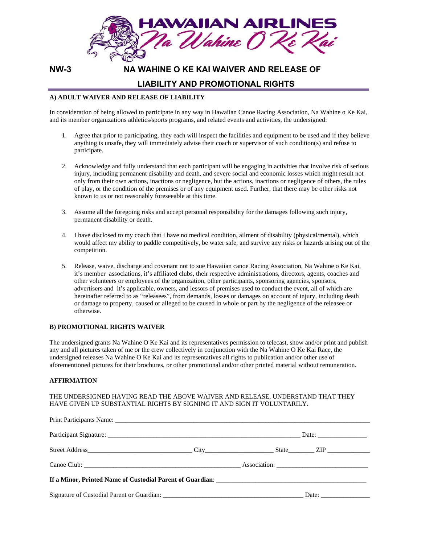

### **NW-3 NA WAHINE O KE KAI WAIVER AND RELEASE OF**

### **LIABILITY AND PROMOTIONAL RIGHTS**

#### **A) ADULT WAIVER AND RELEASE OF LIABILITY**

In consideration of being allowed to participate in any way in Hawaiian Canoe Racing Association, Na Wahine o Ke Kai, and its member organizations athletics/sports programs, and related events and activities, the undersigned:

- 1. Agree that prior to participating, they each will inspect the facilities and equipment to be used and if they believe anything is unsafe, they will immediately advise their coach or supervisor of such condition(s) and refuse to participate.
- 2. Acknowledge and fully understand that each participant will be engaging in activities that involve risk of serious injury, including permanent disability and death, and severe social and economic losses which might result not only from their own actions, inactions or negligence, but the actions, inactions or negligence of others, the rules of play, or the condition of the premises or of any equipment used. Further, that there may be other risks not known to us or not reasonably foreseeable at this time.
- 3. Assume all the foregoing risks and accept personal responsibility for the damages following such injury, permanent disability or death.
- 4. I have disclosed to my coach that I have no medical condition, ailment of disability (physical/mental), which would affect my ability to paddle competitively, be water safe, and survive any risks or hazards arising out of the competition.
- 5. Release, waive, discharge and covenant not to sue Hawaiian canoe Racing Association, Na Wahine o Ke Kai, it's member associations, it's affiliated clubs, their respective administrations, directors, agents, coaches and other volunteers or employees of the organization, other participants, sponsoring agencies, sponsors, advertisers and it's applicable, owners, and lessors of premises used to conduct the event, all of which are hereinafter referred to as "releasees", from demands, losses or damages on account of injury, including death or damage to property, caused or alleged to be caused in whole or part by the negligence of the releasee or otherwise.

### **B) PROMOTIONAL RIGHTS WAIVER**

The undersigned grants Na Wahine O Ke Kai and its representatives permission to telecast, show and/or print and publish any and all pictures taken of me or the crew collectively in conjunction with the Na Wahine O Ke Kai Race, the undersigned releases Na Wahine O Ke Kai and its representatives all rights to publication and/or other use of aforementioned pictures for their brochures, or other promotional and/or other printed material without remuneration.

#### **AFFIRMATION**

#### THE UNDERSIGNED HAVING READ THE ABOVE WAIVER AND RELEASE, UNDERSTAND THAT THEY HAVE GIVEN UP SUBSTANTIAL RIGHTS BY SIGNING IT AND SIGN IT VOLUNTARILY.

|  | $Data:$ $__________$ |
|--|----------------------|
|  |                      |
|  |                      |
|  |                      |
|  |                      |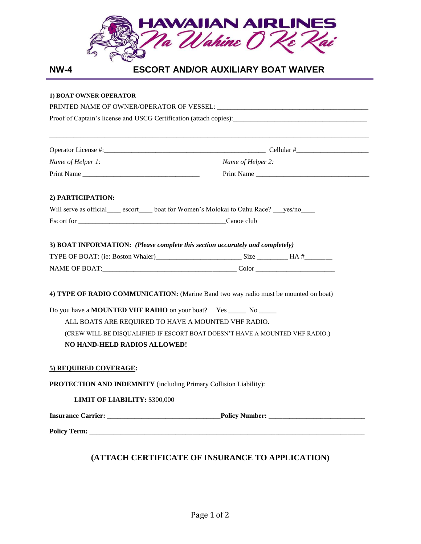

|--|--|--|

## **ESCORT AND/OR AUXILIARY BOAT WAIVER**

### **1) BOAT OWNER OPERATOR**

|                                                                               | Proof of Captain's license and USCG Certification (attach copies): _________________________________ |
|-------------------------------------------------------------------------------|------------------------------------------------------------------------------------------------------|
|                                                                               |                                                                                                      |
| Name of Helper 1:                                                             | Name of Helper 2:                                                                                    |
|                                                                               | Print Name                                                                                           |
| 2) PARTICIPATION:                                                             |                                                                                                      |
| Will serve as official escort boat for Women's Molokai to Oahu Race? yes/no   |                                                                                                      |
|                                                                               |                                                                                                      |
|                                                                               |                                                                                                      |
| 3) BOAT INFORMATION: (Please complete this section accurately and completely) |                                                                                                      |
|                                                                               |                                                                                                      |
|                                                                               |                                                                                                      |
|                                                                               | 4) TYPE OF RADIO COMMUNICATION: (Marine Band two way radio must be mounted on boat)                  |
| Do you have a <b>MOUNTED VHF RADIO</b> on your boat? Yes ______ No ______     |                                                                                                      |
| ALL BOATS ARE REQUIRED TO HAVE A MOUNTED VHF RADIO.                           |                                                                                                      |
|                                                                               | (CREW WILL BE DISQUALIFIED IF ESCORT BOAT DOESN'T HAVE A MOUNTED VHF RADIO.)                         |
| NO HAND-HELD RADIOS ALLOWED!                                                  |                                                                                                      |
| 5) REQUIRED COVERAGE:                                                         |                                                                                                      |
| PROTECTION AND INDEMNITY (including Primary Collision Liability):             |                                                                                                      |
| <b>LIMIT OF LIABILITY: \$300,000</b>                                          |                                                                                                      |
|                                                                               |                                                                                                      |
|                                                                               |                                                                                                      |

## **(ATTACH CERTIFICATE OF INSURANCE TO APPLICATION)**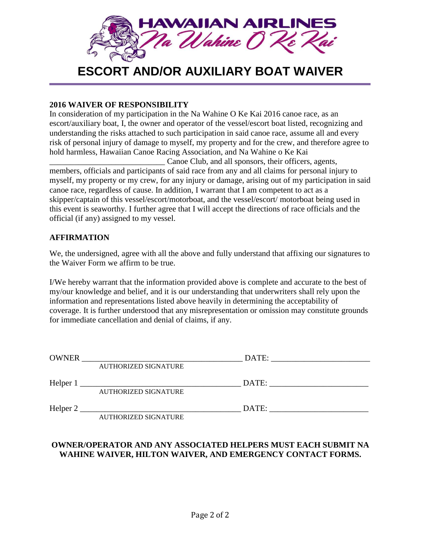

# **ESCORT AND/OR AUXILIARY BOAT WAIVER**

### **2016 WAIVER OF RESPONSIBILITY**

In consideration of my participation in the Na Wahine O Ke Kai 2016 canoe race, as an escort/auxiliary boat, I, the owner and operator of the vessel/escort boat listed, recognizing and understanding the risks attached to such participation in said canoe race, assume all and every risk of personal injury of damage to myself, my property and for the crew, and therefore agree to hold harmless, Hawaiian Canoe Racing Association, and Na Wahine o Ke Kai

\_\_\_\_\_\_\_\_\_\_\_\_\_\_\_\_\_\_\_\_\_\_\_\_\_\_\_\_ Canoe Club, and all sponsors, their officers, agents, members, officials and participants of said race from any and all claims for personal injury to myself, my property or my crew, for any injury or damage, arising out of my participation in said canoe race, regardless of cause. In addition, I warrant that I am competent to act as a skipper/captain of this vessel/escort/motorboat, and the vessel/escort/ motorboat being used in this event is seaworthy. I further agree that I will accept the directions of race officials and the official (if any) assigned to my vessel.

### **AFFIRMATION**

We, the undersigned, agree with all the above and fully understand that affixing our signatures to the Waiver Form we affirm to be true.

I/We hereby warrant that the information provided above is complete and accurate to the best of my/our knowledge and belief, and it is our understanding that underwriters shall rely upon the information and representations listed above heavily in determining the acceptability of coverage. It is further understood that any misrepresentation or omission may constitute grounds for immediate cancellation and denial of claims, if any.

| <b>OWNER</b> |                             | DATE: |  |
|--------------|-----------------------------|-------|--|
|              | <b>AUTHORIZED SIGNATURE</b> |       |  |
| Helper 1     |                             | DATE: |  |
|              | <b>AUTHORIZED SIGNATURE</b> |       |  |
| Helper 2     |                             | DATE: |  |
|              | AUTHORIZED SIGNATURE        |       |  |

### **OWNER/OPERATOR AND ANY ASSOCIATED HELPERS MUST EACH SUBMIT NA WAHINE WAIVER, HILTON WAIVER, AND EMERGENCY CONTACT FORMS.**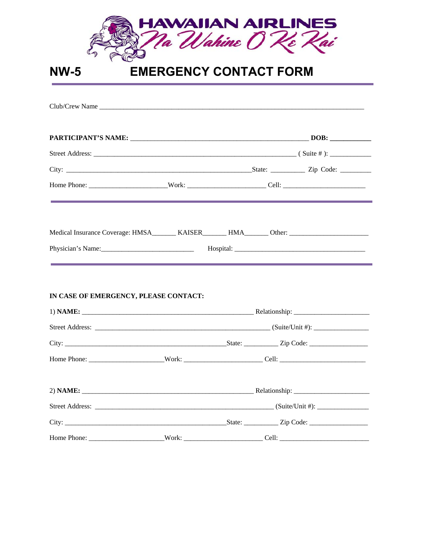| HAWAIIAN AIRLINES<br>Na Wahine 0 Ke Kai |  |                               |  |
|-----------------------------------------|--|-------------------------------|--|
| <b>NW-5</b>                             |  | <b>EMERGENCY CONTACT FORM</b> |  |
|                                         |  |                               |  |
|                                         |  |                               |  |
|                                         |  |                               |  |
|                                         |  |                               |  |
|                                         |  |                               |  |
| IN CASE OF EMERGENCY, PLEASE CONTACT:   |  |                               |  |
|                                         |  |                               |  |
|                                         |  |                               |  |
|                                         |  |                               |  |
|                                         |  |                               |  |
|                                         |  |                               |  |
|                                         |  |                               |  |
|                                         |  |                               |  |
|                                         |  |                               |  |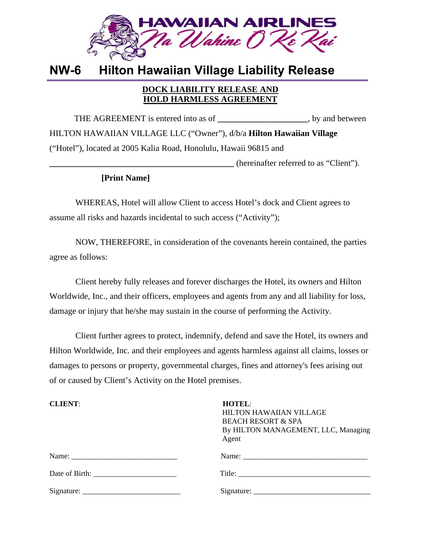

# **NW-6 Hilton Hawaiian Village Liability Release**

### **DOCK LIABILITY RELEASE AND HOLD HARMLESS AGREEMENT**

THE AGREEMENT is entered into as of  $\qquad \qquad$ , by and between HILTON HAWAIIAN VILLAGE LLC ("Owner"), d/b/a **Hilton Hawaiian Village**  ("Hotel"), located at 2005 Kalia Road, Honolulu, Hawaii 96815 and **\_\_\_\_\_\_\_\_\_\_\_\_\_\_\_\_\_\_\_\_\_\_\_\_\_\_\_\_\_\_\_\_\_\_\_\_\_\_\_\_\_\_\_** (hereinafter referred to as "Client").

## **[Print Name]**

WHEREAS, Hotel will allow Client to access Hotel's dock and Client agrees to assume all risks and hazards incidental to such access ("Activity");

NOW, THEREFORE, in consideration of the covenants herein contained, the parties agree as follows:

Client hereby fully releases and forever discharges the Hotel, its owners and Hilton Worldwide, Inc., and their officers, employees and agents from any and all liability for loss, damage or injury that he/she may sustain in the course of performing the Activity.

Client further agrees to protect, indemnify, defend and save the Hotel, its owners and Hilton Worldwide, Inc. and their employees and agents harmless against all claims, losses or damages to persons or property, governmental charges, fines and attorney's fees arising out of or caused by Client's Activity on the Hotel premises.

| <b>CLIENT:</b> | <b>HOTEL:</b><br><b>HILTON HAWAIIAN VILLAGE</b><br><b>BEACH RESORT &amp; SPA</b><br>By HILTON MANAGEMENT, LLC, Managing<br>Agent |  |
|----------------|----------------------------------------------------------------------------------------------------------------------------------|--|
|                |                                                                                                                                  |  |
|                |                                                                                                                                  |  |
|                |                                                                                                                                  |  |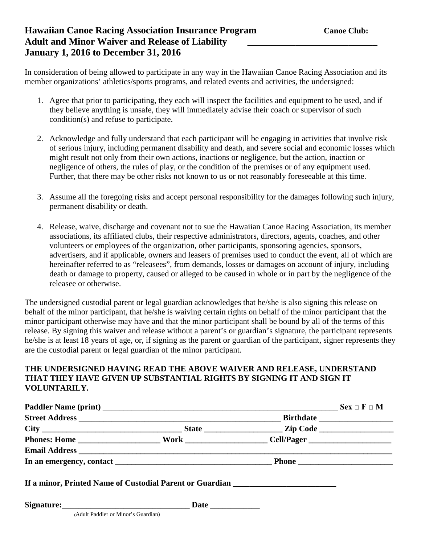## **Hawaiian Canoe Racing Association Insurance Program Canoe Club:** Canoe Club: **Adult and Minor Waiver and Release of Liability \_\_\_\_\_\_\_\_\_\_\_\_\_\_\_\_\_\_\_\_\_\_\_\_\_\_\_ January 1, 2016 to December 31, 2016**

In consideration of being allowed to participate in any way in the Hawaiian Canoe Racing Association and its member organizations' athletics/sports programs, and related events and activities, the undersigned:

- 1. Agree that prior to participating, they each will inspect the facilities and equipment to be used, and if they believe anything is unsafe, they will immediately advise their coach or supervisor of such condition(s) and refuse to participate.
- 2. Acknowledge and fully understand that each participant will be engaging in activities that involve risk of serious injury, including permanent disability and death, and severe social and economic losses which might result not only from their own actions, inactions or negligence, but the action, inaction or negligence of others, the rules of play, or the condition of the premises or of any equipment used. Further, that there may be other risks not known to us or not reasonably foreseeable at this time.
- 3. Assume all the foregoing risks and accept personal responsibility for the damages following such injury, permanent disability or death.
- 4. Release, waive, discharge and covenant not to sue the Hawaiian Canoe Racing Association, its member associations, its affiliated clubs, their respective administrators, directors, agents, coaches, and other volunteers or employees of the organization, other participants, sponsoring agencies, sponsors, advertisers, and if applicable, owners and leasers of premises used to conduct the event, all of which are hereinafter referred to as "releasees", from demands, losses or damages on account of injury, including death or damage to property, caused or alleged to be caused in whole or in part by the negligence of the releasee or otherwise.

The undersigned custodial parent or legal guardian acknowledges that he/she is also signing this release on behalf of the minor participant, that he/she is waiving certain rights on behalf of the minor participant that the minor participant otherwise may have and that the minor participant shall be bound by all of the terms of this release. By signing this waiver and release without a parent's or guardian's signature, the participant represents he/she is at least 18 years of age, or, if signing as the parent or guardian of the participant, signer represents they are the custodial parent or legal guardian of the minor participant.

### **THE UNDERSIGNED HAVING READ THE ABOVE WAIVER AND RELEASE, UNDERSTAND THAT THEY HAVE GIVEN UP SUBSTANTIAL RIGHTS BY SIGNING IT AND SIGN IT VOLUNTARILY.**

| Paddler Name (print) Sex $\Box$ F $\Box$ M                                       |  |  |  |
|----------------------------------------------------------------------------------|--|--|--|
|                                                                                  |  |  |  |
|                                                                                  |  |  |  |
|                                                                                  |  |  |  |
|                                                                                  |  |  |  |
|                                                                                  |  |  |  |
| If a minor, Printed Name of Custodial Parent or Guardian _______________________ |  |  |  |
|                                                                                  |  |  |  |
| (Adult Paddler or Minor's Guardian)                                              |  |  |  |